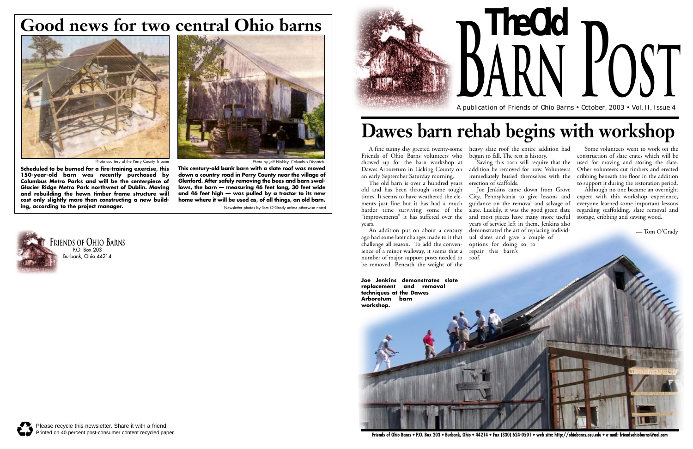A fine sunny day greeted twenty-some heavy slate roof the entire addition had Friends of Ohio Barns volunteers who showed up for the barn workshop at Dawes Arboretum in Licking County on an early September Saturday morning.

The old barn is over a hundred years erection of scaffolds. old and has been through some tough times. It seems to have weathered the elements just fine but it has had a much harder time surviving some of the "improvements" it has suffered over the years.

An addition put on about a century demonstrated the art of replacing individago had some later changes made to it that ual slates and gave a couple of challenge all reason. To add the convenience of a minor walkway, it seems that a number of major support posts needed to be removed. Beneath the weight of the

begun to fall. The rest is history.

Saving this barn will require that the addition be removed for now. Volunteers immediately busied themselves with the

Joe Jenkins came down from Grove City, Pennsylvania to give lessons and guidance on the removal and salvage of slate. Luckily, it was the good green slate and most pieces have many more useful years of service left in them. Jenkins also options for doing so to repair this barn's

roof.

Some volunteers went to work on the construction of slate crates which will be used for moving and storing the slate. Other volunteers cut timbers and erected cribbing beneath the floor in the addition to support it during the restoration period.

Although no one became an overnight expert with this workshop experience, everyone learned some important lessons regarding scaffolding, slate removal and storage, cribbing and sawing wood.



A publication of Friends of Ohio Barns • October, 2003 • Vol. II, Issue 4 **arn Post**



## **Dawes barn rehab begins with workshop**

Newsletter photos by Tom O'Grady unless otherwise noted

**This century-old bank barn with a slate roof was moved down a country road in Perry County near the village of Glenford. After safely removing the bees and barn swallows, the barn — measuring 46 feet long, 30 feet wide and 46 feet high — was pulled by a tractor to its new home where it will be used as, of all things, an old barn.**





## **Good news for two central Ohio barns**





Photo courtesy of the Perry County Tribune

**Scheduled to be burned for a fire-training exercise, this 150-year-old barn was recently purchased by Columbus Metro Parks and will be the centerpiece of Glacier Ridge Metro Park northwest of Dublin. Moving and rebuilding the hewn timber frame structure will cost only slightly more than constructing a new building, according to the project manager.**

Photo by Jeff Hinkley, Columbus Dispate

— Tom O'Grady